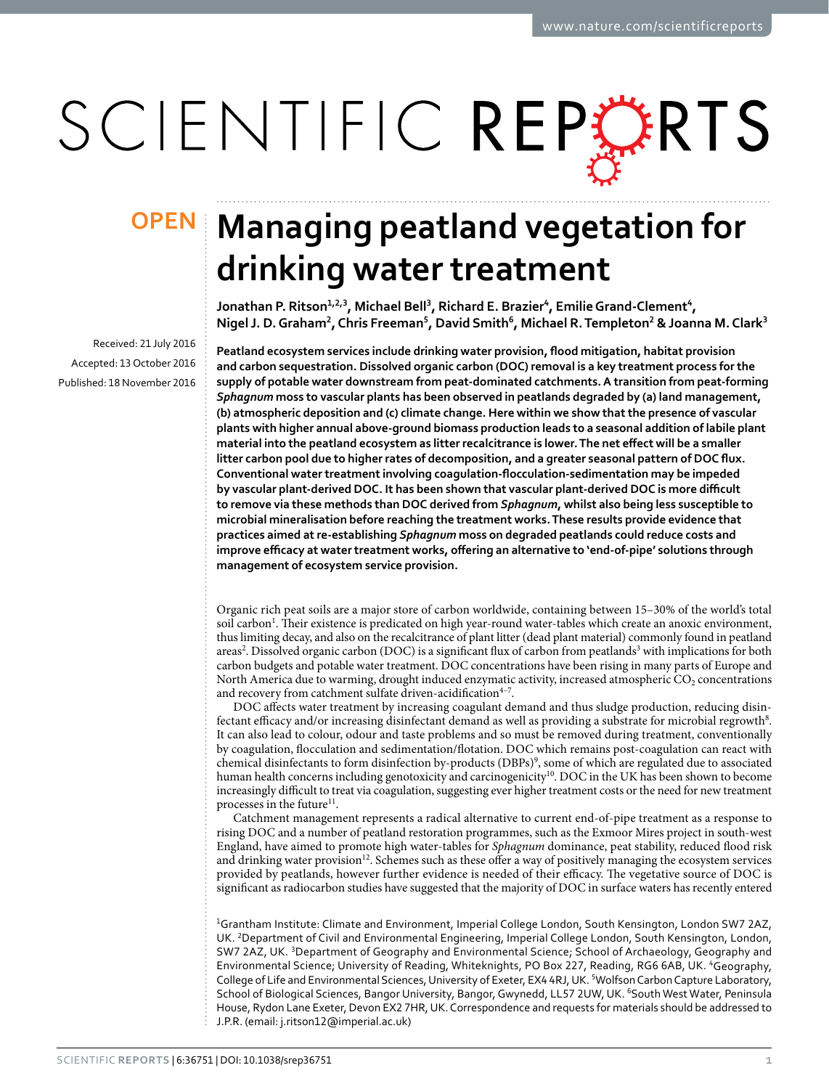# SCIENTIFIC REPORTS

received: 21 July 2016 accepted: 13 October 2016 Published: 18 November 2016

## **Managing peatland vegetation for OPENdrinking water treatment**

**Jonathan P. Ritson<sup>1</sup>,2,<sup>3</sup>, Michael Bell<sup>3</sup>, Richard E. Brazier<sup>4</sup>, EmilieGrand-Clement<sup>4</sup>, Nigel J. D.Graham<sup>2</sup>, Chris Freeman<sup>5</sup>, David Smith<sup>6</sup>, Michael R.Templeton<sup>2</sup> & Joanna M. Clark<sup>3</sup>**

**Peatland ecosystem services include drinking water provision, flood mitigation, habitat provision and carbon sequestration. Dissolved organic carbon (DOC) removal is a key treatment process for the supply of potable water downstream from peat-dominated catchments. A transition from peat-forming**  *Sphagnum* **moss to vascular plants has been observed in peatlands degraded by (a) land management, (b) atmospheric deposition and (c) climate change. Here within we show that the presence of vascular plants with higher annual above-ground biomass production leads to a seasonal addition of labile plant material into the peatland ecosystem as litter recalcitrance is lower. The net effect will be a smaller litter carbon pool due to higher rates of decomposition, and a greater seasonal pattern of DOC flux. Conventional water treatment involving coagulation-flocculation-sedimentation may be impeded by vascular plant-derived DOC. It has been shown that vascular plant-derived DOC is more difficult to remove via these methods than DOC derived from** *Sphagnum***, whilst also being less susceptible to microbial mineralisation before reaching the treatment works. These results provide evidence that practices aimed at re-establishing** *Sphagnum* **moss on degraded peatlands could reduce costs and improve efficacy at water treatment works, offering an alternative to 'end-of-pipe' solutions through management of ecosystem service provision.**

Organic rich peat soils are a major store of carbon worldwide, containing between 15–30% of the world's total soil carbon<sup>1</sup>. Their existence is predicated on high year-round water-tables which create an anoxic environment, thus limiting decay, and also on the recalcitrance of plant litter (dead plant material) commonly found in peatland areas<sup>[2](#page-6-1)</sup>. Dissolved organic carbon (DOC) is a significant flux of carbon from peatlands<sup>3</sup> with implications for both carbon budgets and potable water treatment. DOC concentrations have been rising in many parts of Europe and North America due to warming, drought induced enzymatic activity, increased atmospheric CO<sub>2</sub> concentrations and recovery from catchment sulfate driven-acidification<sup>4-7</sup>.

DOC affects water treatment by increasing coagulant demand and thus sludge production, reducing disin-fectant efficacy and/or increasing disinfectant demand as well as providing a substrate for microbial regrowth<sup>[8](#page-6-4)</sup>. It can also lead to colour, odour and taste problems and so must be removed during treatment, conventionally by coagulation, flocculation and sedimentation/flotation. DOC which remains post-coagulation can react with chemical disinfectants to form disinfection by-products (DBPs)<sup>[9](#page-6-5)</sup>, some of which are regulated due to associated human health concerns including genotoxicity and carcinogenicity<sup>[10](#page-7-0)</sup>. DOC in the UK has been shown to become increasingly difficult to treat via coagulation, suggesting ever higher treatment costs or the need for new treatment processes in the future<sup>[11](#page-7-1)</sup>.

Catchment management represents a radical alternative to current end-of-pipe treatment as a response to rising DOC and a number of peatland restoration programmes, such as the Exmoor Mires project in south-west England, have aimed to promote high water-tables for *Sphagnum* dominance, peat stability, reduced flood risk and drinking water provision<sup>12</sup>. Schemes such as these offer a way of positively managing the ecosystem services provided by peatlands, however further evidence is needed of their efficacy. The vegetative source of DOC is significant as radiocarbon studies have suggested that the majority of DOC in surface waters has recently entered

1Grantham Institute: Climate and Environment, Imperial College London, South Kensington, London SW7 2AZ, UK. <sup>2</sup>Department of Civil and Environmental Engineering, Imperial College London, South Kensington, London, SW7 2AZ, UK. 3Department of Geography and Environmental Science; School of Archaeology, Geography and Environmental Science; University of Reading, Whiteknights, PO Box 227, Reading, RG6 6AB, UK. 4Geography, College of Life and Environmental Sciences, University of Exeter, EX4 4RJ, UK. <sup>5</sup>Wolfson Carbon Capture Laboratory, School of Biological Sciences, Bangor University, Bangor, Gwynedd, LL57 2UW, UK. <sup>6</sup>South West Water, Peninsula House, Rydon Lane Exeter, Devon EX2 7HR, UK. Correspondence and requests for materials should be addressed to J.P.R. (email: [j.ritson12@imperial.ac.uk\)](mailto:j.ritson12@imperial.ac.uk)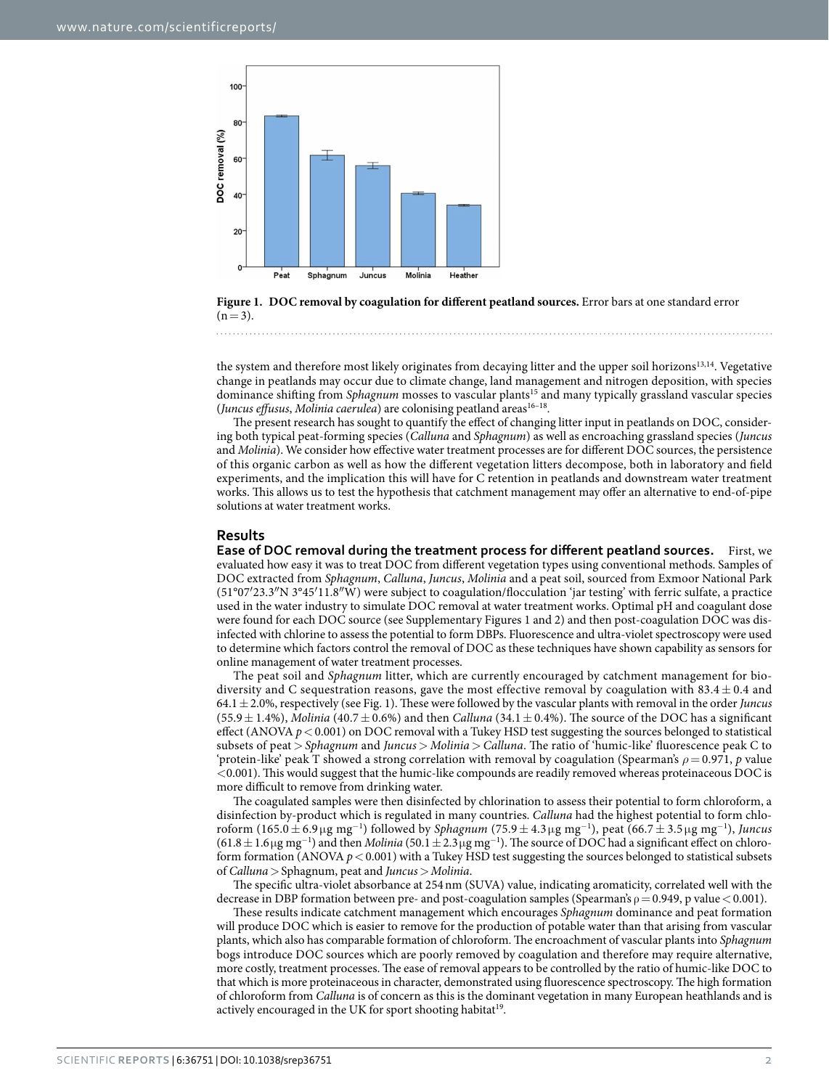

<span id="page-1-0"></span>**Figure 1. DOC removal by coagulation for different peatland sources.** Error bars at one standard error  $(n=3)$ .

the system and therefore most likely originates from decaying litter and the upper soil horizons<sup>13[,14](#page-7-4)</sup>. Vegetative change in peatlands may occur due to climate change, land management and nitrogen deposition, with species dominance shifting from *Sphagnum* mosses to vascular plants<sup>15</sup> and many typically grassland vascular species (*Juncus effusus*, *Molinia caerulea*) are colonising peatland areas<sup>16-18</sup>.

The present research has sought to quantify the effect of changing litter input in peatlands on DOC, considering both typical peat-forming species (*Calluna* and *Sphagnum*) as well as encroaching grassland species (*Juncus* and *Molinia*). We consider how effective water treatment processes are for different DOC sources, the persistence of this organic carbon as well as how the different vegetation litters decompose, both in laboratory and field experiments, and the implication this will have for C retention in peatlands and downstream water treatment works. This allows us to test the hypothesis that catchment management may offer an alternative to end-of-pipe solutions at water treatment works.

#### **Results**

. . . . . . . .

**Ease of DOC removal during the treatment process for different peatland sources.** First, we evaluated how easy it was to treat DOC from different vegetation types using conventional methods. Samples of DOC extracted from *Sphagnum*, *Calluna*, *Juncus*, *Molinia* and a peat soil, sourced from Exmoor National Park (51°07′23.3″N 3°45′11.8″W) were subject to coagulation/flocculation 'jar testing' with ferric sulfate, a practice used in the water industry to simulate DOC removal at water treatment works. Optimal pH and coagulant dose were found for each DOC source (see Supplementary Figures 1 and 2) and then post-coagulation DOC was disinfected with chlorine to assess the potential to form DBPs. Fluorescence and ultra-violet spectroscopy were used to determine which factors control the removal of DOC as these techniques have shown capability as sensors for online management of water treatment processes.

The peat soil and *Sphagnum* litter, which are currently encouraged by catchment management for biodiversity and C sequestration reasons, gave the most effective removal by coagulation with 83.4  $\pm$  0.4 and 64.1±2.0%, respectively (see [Fig. 1](#page-1-0)). These were followed by the vascular plants with removal in the order *Juncus*  $(55.9 \pm 1.4\%)$ , *Molinia* (40.7 $\pm$  0.6%) and then *Calluna* (34.1 $\pm$  0.4%). The source of the DOC has a significant effect (ANOVA  $p < 0.001$ ) on DOC removal with a Tukey HSD test suggesting the sources belonged to statistical subsets of peat> *Sphagnum* and *Juncus*> *Molinia*> *Calluna*. The ratio of 'humic-like' fluorescence peak C to 'protein-like' peak T showed a strong correlation with removal by coagulation (Spearman's *ρ*= 0.971, *p* value <0.001). This would suggest that the humic-like compounds are readily removed whereas proteinaceous DOC is more difficult to remove from drinking water.

The coagulated samples were then disinfected by chlorination to assess their potential to form chloroform, a disinfection by-product which is regulated in many countries. *Calluna* had the highest potential to form chloroform ( $165.0 \pm 6.9 \mu$ g mg<sup>-1</sup>) followed by *Sphagnum* (75.9  $\pm 4.3 \mu$ g mg<sup>-1</sup>), peat (66.7  $\pm 3.5 \mu$ g mg<sup>-1</sup>), *Juncus*  $(61.8 \pm 1.6 \,\text{\upmu g\,mg}^{-1})$  and then *Molinia* (50.1  $\pm$  2.3  $\text{\upmu g\,mg}^{-1}$ ). The source of DOC had a significant effect on chloroform formation (ANOVA  $p < 0.001$ ) with a Tukey HSD test suggesting the sources belonged to statistical subsets of *Calluna*>Sphagnum, peat and *Juncus*>*Molinia*.

The specific ultra-violet absorbance at 254nm (SUVA) value, indicating aromaticity, correlated well with the decrease in DBP formation between pre- and post-coagulation samples (Spearman's  $\rho = 0.949$ , p value  $< 0.001$ ).

These results indicate catchment management which encourages *Sphagnum* dominance and peat formation will produce DOC which is easier to remove for the production of potable water than that arising from vascular plants, which also has comparable formation of chloroform. The encroachment of vascular plants into *Sphagnum* bogs introduce DOC sources which are poorly removed by coagulation and therefore may require alternative, more costly, treatment processes. The ease of removal appears to be controlled by the ratio of humic-like DOC to that which is more proteinaceous in character, demonstrated using fluorescence spectroscopy. The high formation of chloroform from *Calluna* is of concern as this is the dominant vegetation in many European heathlands and is actively encouraged in the UK for sport shooting habitat<sup>19</sup>.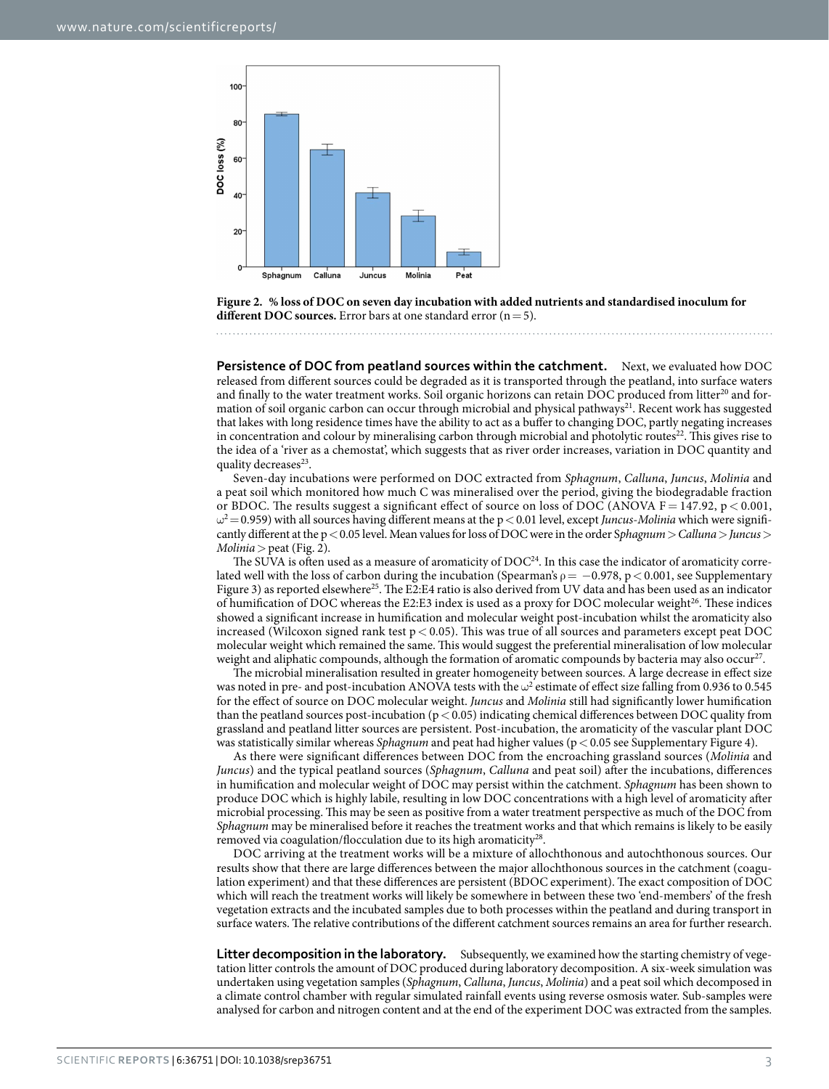

<span id="page-2-0"></span>

**Persistence of DOC from peatland sources within the catchment.** Next, we evaluated how DOC released from different sources could be degraded as it is transported through the peatland, into surface waters and finally to the water treatment works. Soil organic horizons can retain DOC produced from litter<sup>[20](#page-7-8)</sup> and formation of soil organic carbon can occur through microbial and physical pathways<sup>21</sup>. Recent work has suggested that lakes with long residence times have the ability to act as a buffer to changing DOC, partly negating increases in concentration and colour by mineralising carbon through microbial and photolytic routes<sup>[22](#page-7-10)</sup>. This gives rise to the idea of a 'river as a chemostat', which suggests that as river order increases, variation in DOC quantity and quality decreases $^{23}$ .

Seven-day incubations were performed on DOC extracted from *Sphagnum*, *Calluna*, *Juncus*, *Molinia* and a peat soil which monitored how much C was mineralised over the period, giving the biodegradable fraction or BDOC. The results suggest a significant effect of source on loss of DOC (ANOVA  $F = 147.92$ ,  $p < 0.001$ , ω2= 0.959) with all sources having different means at the p< 0.01 level, except *Juncus*-*Molinia* which were significantly different at the p< 0.05 level. Mean values for loss of DOC were in the order S*phagnum*> *Calluna*> *Juncus*>  $Molina$  peat ([Fig. 2](#page-2-0)).

The SUVA is often used as a measure of aromaticity of  $DOC^{24}$  $DOC^{24}$  $DOC^{24}$ . In this case the indicator of aromaticity correlated well with the loss of carbon during the incubation (Spearman's  $\rho = -0.978$ ,  $p < 0.001$ , see Supplementary Figure 3) as reported elsewhere<sup>[25](#page-7-13)</sup>. The E2:E4 ratio is also derived from UV data and has been used as an indicator of humification of DOC whereas the E2:E3 index is used as a proxy for DOC molecular weigh[t26](#page-7-14). These indices showed a significant increase in humification and molecular weight post-incubation whilst the aromaticity also increased (Wilcoxon signed rank test  $p < 0.05$ ). This was true of all sources and parameters except peat DOC molecular weight which remained the same. This would suggest the preferential mineralisation of low molecular weight and aliphatic compounds, although the formation of aromatic compounds by bacteria may also occur<sup>27</sup>.

The microbial mineralisation resulted in greater homogeneity between sources. A large decrease in effect size was noted in pre- and post-incubation ANOVA tests with the  $\omega^2$  estimate of effect size falling from 0.936 to 0.545 for the effect of source on DOC molecular weight. *Juncus* and *Molinia* still had significantly lower humification than the peatland sources post-incubation ( $p < 0.05$ ) indicating chemical differences between DOC quality from grassland and peatland litter sources are persistent. Post-incubation, the aromaticity of the vascular plant DOC was statistically similar whereas *Sphagnum* and peat had higher values (p<0.05 see Supplementary Figure 4).

As there were significant differences between DOC from the encroaching grassland sources (*Molinia* and *Juncus*) and the typical peatland sources (*Sphagnum*, *Calluna* and peat soil) after the incubations, differences in humification and molecular weight of DOC may persist within the catchment. *Sphagnum* has been shown to produce DOC which is highly labile, resulting in low DOC concentrations with a high level of aromaticity after microbial processing. This may be seen as positive from a water treatment perspective as much of the DOC from *Sphagnum* may be mineralised before it reaches the treatment works and that which remains is likely to be easily removed via coagulation/flocculation due to its high aromaticity<sup>28</sup>.

DOC arriving at the treatment works will be a mixture of allochthonous and autochthonous sources. Our results show that there are large differences between the major allochthonous sources in the catchment (coagulation experiment) and that these differences are persistent (BDOC experiment). The exact composition of DOC which will reach the treatment works will likely be somewhere in between these two 'end-members' of the fresh vegetation extracts and the incubated samples due to both processes within the peatland and during transport in surface waters. The relative contributions of the different catchment sources remains an area for further research.

**Litter decomposition in the laboratory.** Subsequently, we examined how the starting chemistry of vegetation litter controls the amount of DOC produced during laboratory decomposition. A six-week simulation was undertaken using vegetation samples (*Sphagnum*, *Calluna*, *Juncus*, *Molinia*) and a peat soil which decomposed in a climate control chamber with regular simulated rainfall events using reverse osmosis water. Sub-samples were analysed for carbon and nitrogen content and at the end of the experiment DOC was extracted from the samples.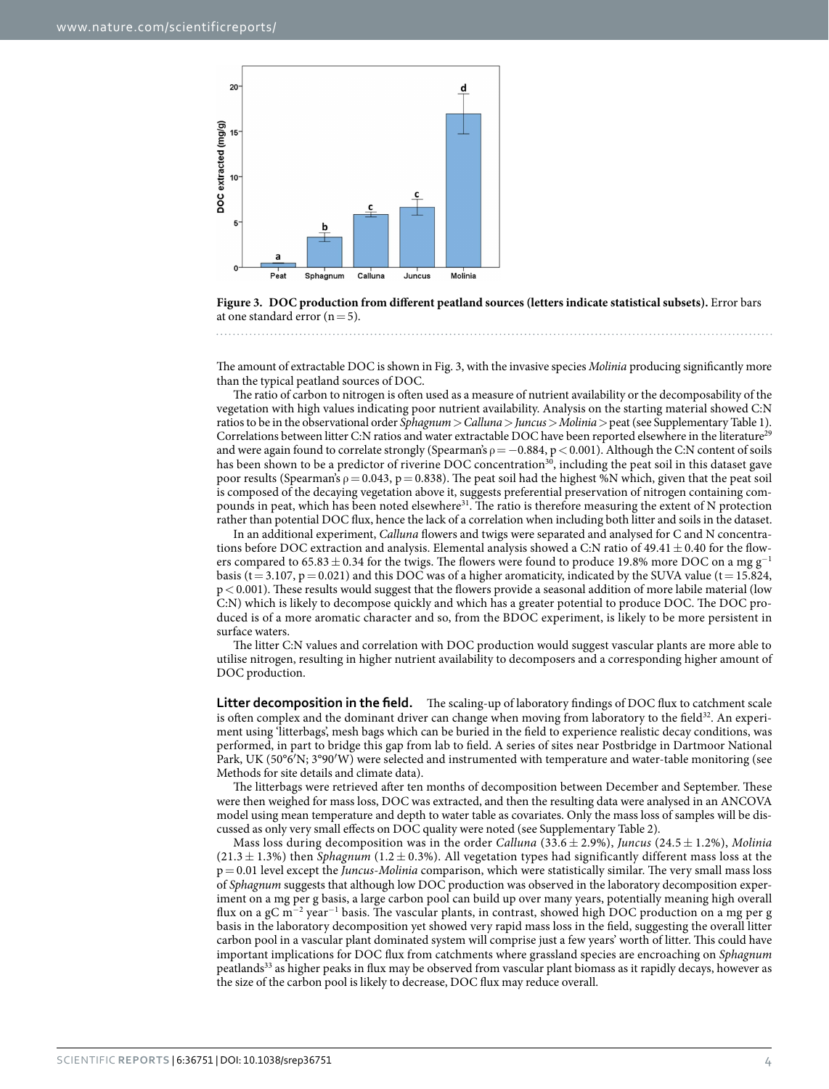

<span id="page-3-0"></span>**Figure 3. DOC production from different peatland sources (letters indicate statistical subsets).** Error bars at one standard error  $(n=5)$ .

The amount of extractable DOC is shown in [Fig. 3,](#page-3-0) with the invasive species *Molinia* producing significantly more than the typical peatland sources of DOC.

The ratio of carbon to nitrogen is often used as a measure of nutrient availability or the decomposability of the vegetation with high values indicating poor nutrient availability. Analysis on the starting material showed C:N ratios to be in the observational order *Sphagnum*> *Calluna*> *Juncus*> *Molinia*> peat (see Supplementary Table 1). Correlations between litter C:N ratios and water extractable DOC have been reported elsewhere in the literature<sup>29</sup> and were again found to correlate strongly (Spearman's  $\rho = −0.884$ ,  $p < 0.001$ ). Although the C:N content of soils has been shown to be a predictor of riverine DOC concentration<sup>30</sup>, including the peat soil in this dataset gave poor results (Spearman's  $\rho = 0.043$ ,  $p = 0.838$ ). The peat soil had the highest %N which, given that the peat soil is composed of the decaying vegetation above it, suggests preferential preservation of nitrogen containing com-pounds in peat, which has been noted elsewhere<sup>[31](#page-7-19)</sup>. The ratio is therefore measuring the extent of N protection rather than potential DOC flux, hence the lack of a correlation when including both litter and soils in the dataset.

In an additional experiment, *Calluna* flowers and twigs were separated and analysed for C and N concentrations before DOC extraction and analysis. Elemental analysis showed a C:N ratio of  $49.41 \pm 0.40$  for the flowers compared to 65.83  $\pm$  0.34 for the twigs. The flowers were found to produce 19.8% more DOC on a mg g<sup>−1</sup> basis (t = 3.107, p = 0.021) and this DOC was of a higher aromaticity, indicated by the SUVA value (t = 15.824, p< 0.001). These results would suggest that the flowers provide a seasonal addition of more labile material (low C:N) which is likely to decompose quickly and which has a greater potential to produce DOC. The DOC produced is of a more aromatic character and so, from the BDOC experiment, is likely to be more persistent in surface waters.

The litter C:N values and correlation with DOC production would suggest vascular plants are more able to utilise nitrogen, resulting in higher nutrient availability to decomposers and a corresponding higher amount of DOC production.

**Litter decomposition in the field.** The scaling-up of laboratory findings of DOC flux to catchment scale is often complex and the dominant driver can change when moving from laboratory to the field<sup>32</sup>. An experiment using 'litterbags', mesh bags which can be buried in the field to experience realistic decay conditions, was performed, in part to bridge this gap from lab to field. A series of sites near Postbridge in Dartmoor National Park, UK (50°6′N; 3°90′W) were selected and instrumented with temperature and water-table monitoring (see Methods for site details and climate data).

The litterbags were retrieved after ten months of decomposition between December and September. These were then weighed for mass loss, DOC was extracted, and then the resulting data were analysed in an ANCOVA model using mean temperature and depth to water table as covariates. Only the mass loss of samples will be discussed as only very small effects on DOC quality were noted (see Supplementary Table 2).

Mass loss during decomposition was in the order *Calluna* (33.6 ± 2.9%), *Juncus* (24.5 ± 1.2%), *Molinia* (21.3 ± 1.3%) then *Sphagnum* (1.2 ± 0.3%). All vegetation types had significantly different mass loss at the p= 0.01 level except the *Juncus*-*Molinia* comparison, which were statistically similar. The very small mass loss of *Sphagnum* suggests that although low DOC production was observed in the laboratory decomposition experiment on a mg per g basis, a large carbon pool can build up over many years, potentially meaning high overall flux on a gC m<sup>−2</sup> year<sup>−1</sup> basis. The vascular plants, in contrast, showed high DOC production on a mg per g basis in the laboratory decomposition yet showed very rapid mass loss in the field, suggesting the overall litter carbon pool in a vascular plant dominated system will comprise just a few years' worth of litter. This could have important implications for DOC flux from catchments where grassland species are encroaching on *Sphagnum* peatlands<sup>33</sup> as higher peaks in flux may be observed from vascular plant biomass as it rapidly decays, however as the size of the carbon pool is likely to decrease, DOC flux may reduce overall.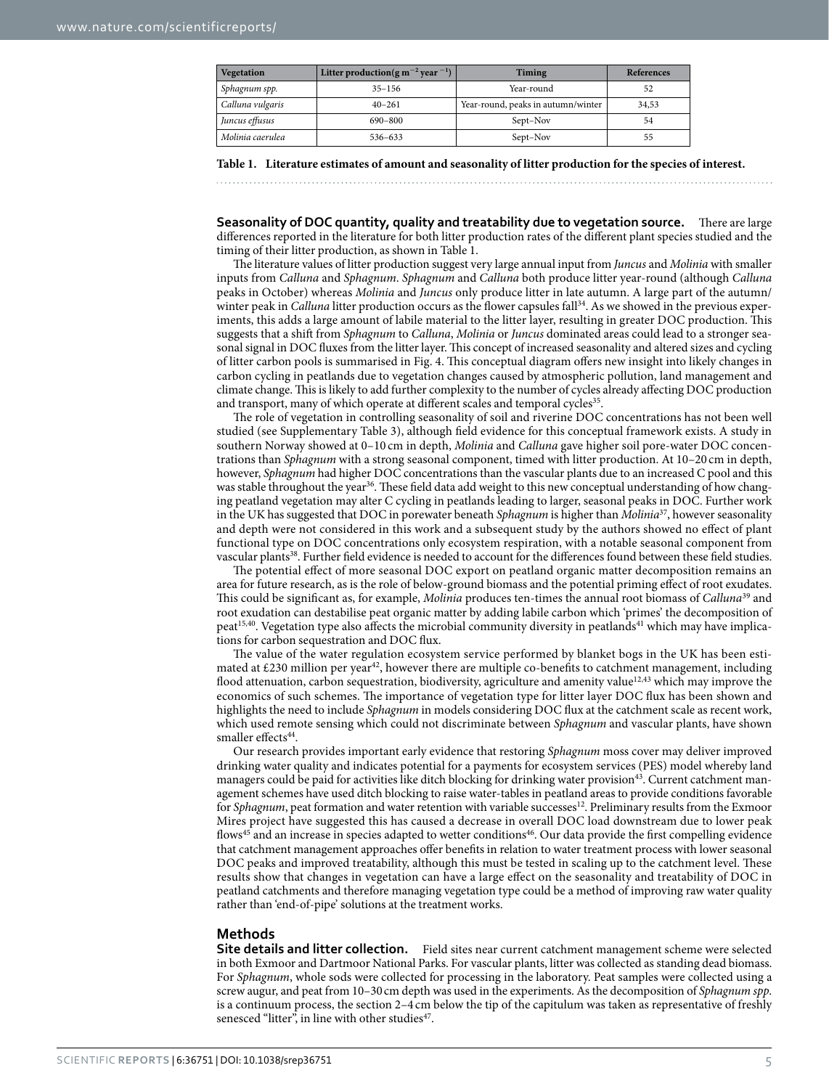<span id="page-4-0"></span>

| <b>Vegetation</b> | Litter production (g m <sup>-2</sup> year <sup>-1</sup> ) | <b>Timing</b>                      | References |
|-------------------|-----------------------------------------------------------|------------------------------------|------------|
| Sphagnum spp.     | $35 - 156$                                                | Year-round                         | 52         |
| Calluna vulgaris  | $40 - 261$                                                | Year-round, peaks in autumn/winter | 34,53      |
| Juncus effusus    | 690-800                                                   | Sept-Nov                           | 54         |
| Molinia caerulea  | 536-633                                                   | Sept-Nov                           | 55         |

**Table 1. Literature estimates of amount and seasonality of litter production for the species of interest.**

**Seasonality of DOC quantity, quality and treatability due to vegetation source.** There are large differences reported in the literature for both litter production rates of the different plant species studied and the timing of their litter production, as shown in [Table 1.](#page-4-0)

The literature values of litter production suggest very large annual input from *Juncus* and *Molinia* with smaller inputs from *Calluna* and *Sphagnum*. *Sphagnum* and *Calluna* both produce litter year-round (although *Calluna* peaks in October) whereas *Molinia* and *Juncus* only produce litter in late autumn. A large part of the autumn/ winter peak in *Calluna* litter production occurs as the flower capsules fall<sup>34</sup>. As we showed in the previous experiments, this adds a large amount of labile material to the litter layer, resulting in greater DOC production. This suggests that a shift from *Sphagnum* to *Calluna*, *Molinia* or *Juncus* dominated areas could lead to a stronger seasonal signal in DOC fluxes from the litter layer. This concept of increased seasonality and altered sizes and cycling of litter carbon pools is summarised in [Fig. 4](#page-5-0). This conceptual diagram offers new insight into likely changes in carbon cycling in peatlands due to vegetation changes caused by atmospheric pollution, land management and climate change. This is likely to add further complexity to the number of cycles already affecting DOC production and transport, many of which operate at different scales and temporal cycles<sup>[35](#page-7-23)</sup>.

The role of vegetation in controlling seasonality of soil and riverine DOC concentrations has not been well studied (see Supplementary Table 3), although field evidence for this conceptual framework exists. A study in southern Norway showed at 0–10 cm in depth, *Molinia* and *Calluna* gave higher soil pore-water DOC concentrations than *Sphagnum* with a strong seasonal component, timed with litter production. At 10–20 cm in depth, however, *Sphagnum* had higher DOC concentrations than the vascular plants due to an increased C pool and this was stable throughout the year<sup>36</sup>. These field data add weight to this new conceptual understanding of how changing peatland vegetation may alter C cycling in peatlands leading to larger, seasonal peaks in DOC. Further work in the UK has suggested that DOC in porewater beneath *Sphagnum* is higher than *Molinia*[37](#page-7-25), however seasonality and depth were not considered in this work and a subsequent study by the authors showed no effect of plant functional type on DOC concentrations only ecosystem respiration, with a notable seasonal component from vascular plants<sup>38</sup>. Further field evidence is needed to account for the differences found between these field studies.

The potential effect of more seasonal DOC export on peatland organic matter decomposition remains an area for future research, as is the role of below-ground biomass and the potential priming effect of root exudates. This could be significant as, for example, *Molinia* produces ten-times the annual root biomass of *Calluna*[39](#page-7-27) and root exudation can destabilise peat organic matter by adding labile carbon which 'primes' the decomposition of peat<sup>[15,](#page-7-5)40</sup>. Vegetation type also affects the microbial community diversity in peatlands<sup>41</sup> which may have implications for carbon sequestration and DOC flux.

The value of the water regulation ecosystem service performed by blanket bogs in the UK has been estimated at  $£230$  million per year<sup>42</sup>, however there are multiple co-benefits to catchment management, including flood attenuation, carbon sequestration, biodiversity, agriculture and amenity value<sup>12,43</sup> which may improve the economics of such schemes. The importance of vegetation type for litter layer DOC flux has been shown and highlights the need to include *Sphagnum* in models considering DOC flux at the catchment scale as recent work, which used remote sensing which could not discriminate between *Sphagnum* and vascular plants, have shown smaller effects<sup>44</sup>.

Our research provides important early evidence that restoring *Sphagnum* moss cover may deliver improved drinking water quality and indicates potential for a payments for ecosystem services (PES) model whereby land managers could be paid for activities like ditch blocking for drinking water provision<sup>43</sup>. Current catchment management schemes have used ditch blocking to raise water-tables in peatland areas to provide conditions favorable for *Sphagnum*, peat formation and water retention with variable successes<sup>[12](#page-7-2)</sup>. Preliminary results from the Exmoor Mires project have suggested this has caused a decrease in overall DOC load downstream due to lower peak flows<sup>45</sup> and an increase in species adapted to wetter conditions<sup>46</sup>. Our data provide the first compelling evidence that catchment management approaches offer benefits in relation to water treatment process with lower seasonal DOC peaks and improved treatability, although this must be tested in scaling up to the catchment level. These results show that changes in vegetation can have a large effect on the seasonality and treatability of DOC in peatland catchments and therefore managing vegetation type could be a method of improving raw water quality rather than 'end-of-pipe' solutions at the treatment works.

#### **Methods**

**Site details and litter collection.** Field sites near current catchment management scheme were selected in both Exmoor and Dartmoor National Parks. For vascular plants, litter was collected as standing dead biomass. For *Sphagnum*, whole sods were collected for processing in the laboratory. Peat samples were collected using a screw augur, and peat from 10–30cm depth was used in the experiments. As the decomposition of *Sphagnum spp*. is a continuum process, the section 2–4 cm below the tip of the capitulum was taken as representative of freshly senesced "litter", in line with other studies<sup>47</sup>.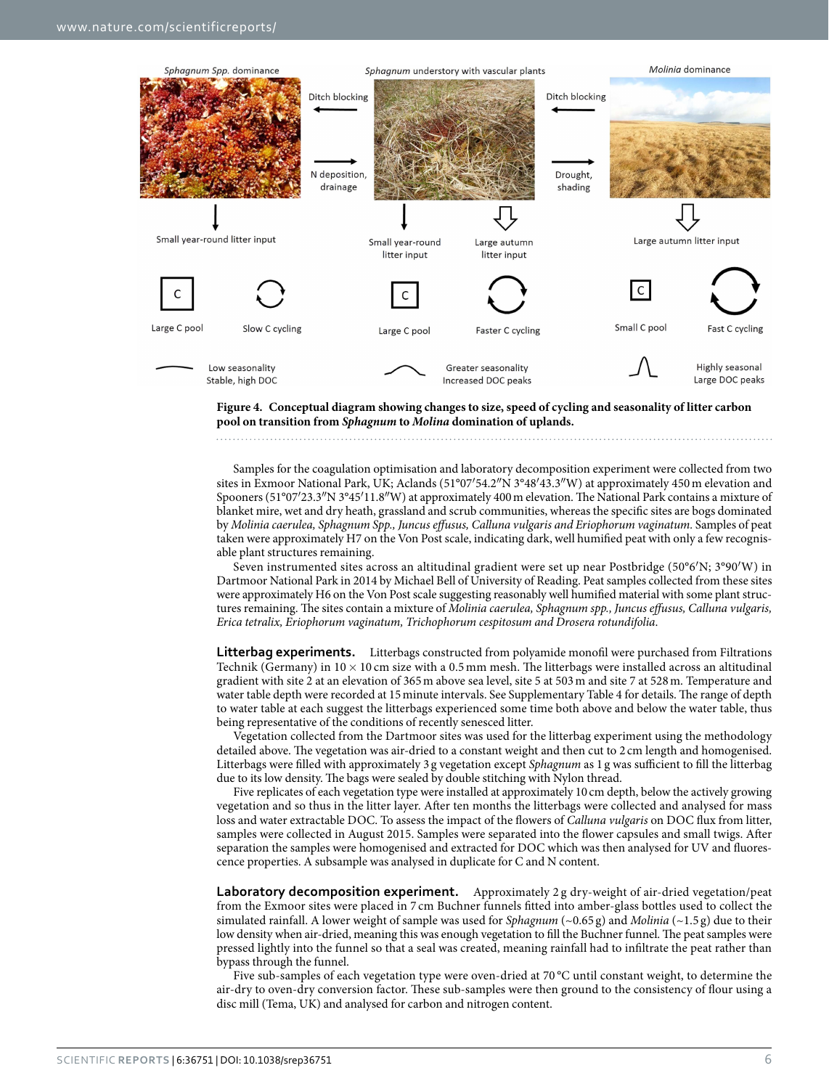

<span id="page-5-0"></span>

Samples for the coagulation optimisation and laboratory decomposition experiment were collected from two sites in Exmoor National Park, UK; Aclands (51°07′54.2″N 3°48′43.3″W) at approximately 450m elevation and Spooners (51°07′23.3″N 3°45′11.8″W) at approximately 400m elevation. The National Park contains a mixture of blanket mire, wet and dry heath, grassland and scrub communities, whereas the specific sites are bogs dominated by *Molinia caerulea, Sphagnum Spp., Juncus effusus, Calluna vulgaris and Eriophorum vaginatum.* Samples of peat taken were approximately H7 on the Von Post scale, indicating dark, well humified peat with only a few recognisable plant structures remaining.

Seven instrumented sites across an altitudinal gradient were set up near Postbridge (50°6′N; 3°90′W) in Dartmoor National Park in 2014 by Michael Bell of University of Reading. Peat samples collected from these sites were approximately H6 on the Von Post scale suggesting reasonably well humified material with some plant structures remaining. The sites contain a mixture of *Molinia caerulea, Sphagnum spp., Juncus effusus, Calluna vulgaris, Erica tetralix, Eriophorum vaginatum, Trichophorum cespitosum and Drosera rotundifolia*.

**Litterbag experiments.** Litterbags constructed from polyamide monofil were purchased from Filtrations Technik (Germany) in  $10 \times 10$  cm size with a 0.5 mm mesh. The litterbags were installed across an altitudinal gradient with site 2 at an elevation of 365m above sea level, site 5 at 503m and site 7 at 528m. Temperature and water table depth were recorded at 15minute intervals. See Supplementary Table 4 for details. The range of depth to water table at each suggest the litterbags experienced some time both above and below the water table, thus being representative of the conditions of recently senesced litter.

Vegetation collected from the Dartmoor sites was used for the litterbag experiment using the methodology detailed above. The vegetation was air-dried to a constant weight and then cut to 2 cm length and homogenised. Litterbags were filled with approximately 3 g vegetation except *Sphagnum* as 1 g was sufficient to fill the litterbag due to its low density. The bags were sealed by double stitching with Nylon thread.

Five replicates of each vegetation type were installed at approximately 10 cm depth, below the actively growing vegetation and so thus in the litter layer. After ten months the litterbags were collected and analysed for mass loss and water extractable DOC. To assess the impact of the flowers of *Calluna vulgaris* on DOC flux from litter, samples were collected in August 2015. Samples were separated into the flower capsules and small twigs. After separation the samples were homogenised and extracted for DOC which was then analysed for UV and fluorescence properties. A subsample was analysed in duplicate for C and N content.

**Laboratory decomposition experiment.** Approximately 2 g dry-weight of air-dried vegetation/peat from the Exmoor sites were placed in 7 cm Buchner funnels fitted into amber-glass bottles used to collect the simulated rainfall. A lower weight of sample was used for *Sphagnum* (~0.65 g) and *Molinia* (~1.5 g) due to their low density when air-dried, meaning this was enough vegetation to fill the Buchner funnel. The peat samples were pressed lightly into the funnel so that a seal was created, meaning rainfall had to infiltrate the peat rather than bypass through the funnel.

Five sub-samples of each vegetation type were oven-dried at 70 °C until constant weight, to determine the air-dry to oven-dry conversion factor. These sub-samples were then ground to the consistency of flour using a disc mill (Tema, UK) and analysed for carbon and nitrogen content.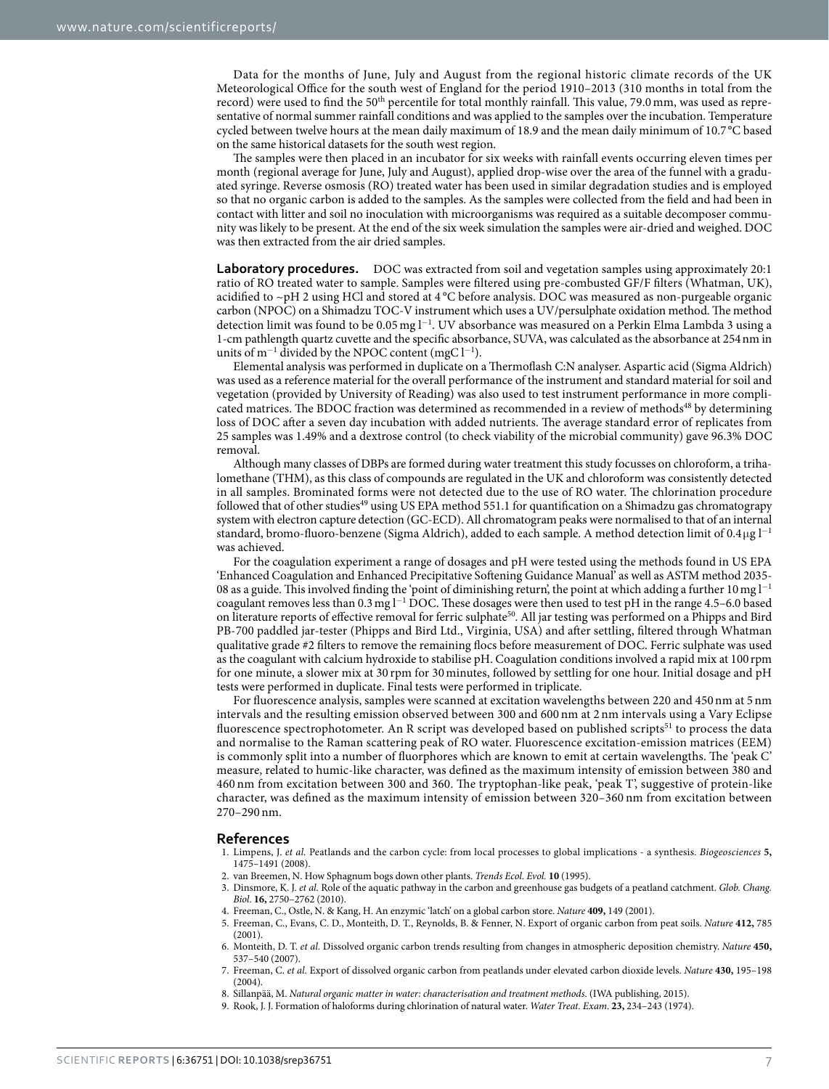Data for the months of June, July and August from the regional historic climate records of the UK Meteorological Office for the south west of England for the period 1910–2013 (310 months in total from the record) were used to find the 50<sup>th</sup> percentile for total monthly rainfall. This value, 79.0 mm, was used as representative of normal summer rainfall conditions and was applied to the samples over the incubation. Temperature cycled between twelve hours at the mean daily maximum of 18.9 and the mean daily minimum of 10.7 °C based on the same historical datasets for the south west region.

The samples were then placed in an incubator for six weeks with rainfall events occurring eleven times per month (regional average for June, July and August), applied drop-wise over the area of the funnel with a graduated syringe. Reverse osmosis (RO) treated water has been used in similar degradation studies and is employed so that no organic carbon is added to the samples. As the samples were collected from the field and had been in contact with litter and soil no inoculation with microorganisms was required as a suitable decomposer community was likely to be present. At the end of the six week simulation the samples were air-dried and weighed. DOC was then extracted from the air dried samples.

Laboratory procedures. DOC was extracted from soil and vegetation samples using approximately 20:1 ratio of RO treated water to sample. Samples were filtered using pre-combusted GF/F filters (Whatman, UK), acidified to ~pH 2 using HCl and stored at 4 °C before analysis. DOC was measured as non-purgeable organic carbon (NPOC) on a Shimadzu TOC-V instrument which uses a UV/persulphate oxidation method. The method detection limit was found to be 0.05 mg l<sup>−</sup><sup>1</sup> . UV absorbance was measured on a Perkin Elma Lambda 3 using a 1-cm pathlength quartz cuvette and the specific absorbance, SUVA, was calculated as the absorbance at 254nm in units of  $m^{-1}$  divided by the NPOC content (mgC l<sup>-1</sup>).

Elemental analysis was performed in duplicate on a Thermoflash C:N analyser. Aspartic acid (Sigma Aldrich) was used as a reference material for the overall performance of the instrument and standard material for soil and vegetation (provided by University of Reading) was also used to test instrument performance in more complicated matrices. The BDOC fraction was determined as recommended in a review of methods<sup>48</sup> by determining loss of DOC after a seven day incubation with added nutrients. The average standard error of replicates from 25 samples was 1.49% and a dextrose control (to check viability of the microbial community) gave 96.3% DOC removal.

Although many classes of DBPs are formed during water treatment this study focusses on chloroform, a trihalomethane (THM), as this class of compounds are regulated in the UK and chloroform was consistently detected in all samples. Brominated forms were not detected due to the use of RO water. The chlorination procedure followed that of other studies<sup>[49](#page-7-37)</sup> using US EPA method 551.1 for quantification on a Shimadzu gas chromatograpy system with electron capture detection (GC-ECD). All chromatogram peaks were normalised to that of an internal standard, bromo-fluoro-benzene (Sigma Aldrich), added to each sample. A method detection limit of  $0.4 \mu g l^{-1}$ was achieved.

For the coagulation experiment a range of dosages and pH were tested using the methods found in US EPA 'Enhanced Coagulation and Enhanced Precipitative Softening Guidance Manual' as well as ASTM method 2035- 08 as a guide. This involved finding the 'point of diminishing return', the point at which adding a further  $10 \text{ mg } l^{-1}$ coagulant removes less than 0.3 mg l<sup>-1</sup> DOC. These dosages were then used to test pH in the range 4.5–6.0 based on literature reports of effective removal for ferric sulphate<sup>[50](#page-7-38)</sup>. All jar testing was performed on a Phipps and Bird PB-700 paddled jar-tester (Phipps and Bird Ltd., Virginia, USA) and after settling, filtered through Whatman qualitative grade #2 filters to remove the remaining flocs before measurement of DOC. Ferric sulphate was used as the coagulant with calcium hydroxide to stabilise pH. Coagulation conditions involved a rapid mix at 100 rpm for one minute, a slower mix at 30 rpm for 30 minutes, followed by settling for one hour. Initial dosage and pH tests were performed in duplicate. Final tests were performed in triplicate.

For fluorescence analysis, samples were scanned at excitation wavelengths between 220 and 450 nm at 5 nm intervals and the resulting emission observed between 300 and 600 nm at 2 nm intervals using a Vary Eclipse fluorescence spectrophotometer. An R script was developed based on published scripts<sup>51</sup> to process the data and normalise to the Raman scattering peak of RO water. Fluorescence excitation-emission matrices (EEM) is commonly split into a number of fluorphores which are known to emit at certain wavelengths. The 'peak C' measure, related to humic-like character, was defined as the maximum intensity of emission between 380 and 460 nm from excitation between 300 and 360. The tryptophan-like peak, 'peak T', suggestive of protein-like character, was defined as the maximum intensity of emission between 320–360 nm from excitation between 270–290 nm.

#### **References**

- <span id="page-6-0"></span>1. Limpens, J. *et al.* Peatlands and the carbon cycle: from local processes to global implications - a synthesis. *Biogeosciences* **5,** 1475–1491 (2008).
- <span id="page-6-1"></span>2. van Breemen, N. How Sphagnum bogs down other plants. *Trends Ecol. Evol.* **10** (1995).
- <span id="page-6-2"></span>3. Dinsmore, K. J. *et al.* Role of the aquatic pathway in the carbon and greenhouse gas budgets of a peatland catchment. *Glob. Chang. Biol*. **16,** 2750–2762 (2010).
- <span id="page-6-3"></span>4. Freeman, C., Ostle, N. & Kang, H. An enzymic 'latch' on a global carbon store. *Nature* **409,** 149 (2001).
- 5. Freeman, C., Evans, C. D., Monteith, D. T., Reynolds, B. & Fenner, N. Export of organic carbon from peat soils. *Nature* **412,** 785 (2001).
- 6. Monteith, D. T. *et al.* Dissolved organic carbon trends resulting from changes in atmospheric deposition chemistry. *Nature* **450,** 537–540 (2007).
- 7. Freeman, C. *et al.* Export of dissolved organic carbon from peatlands under elevated carbon dioxide levels. *Nature* **430,** 195–198 (2004).
- <span id="page-6-5"></span><span id="page-6-4"></span>8. Sillanpää, M. *Natural organic matter in water: characterisation and treatment methods*. (IWA publishing, 2015).
- 9. Rook, J. J. Formation of haloforms during chlorination of natural water. *Water Treat. Exam*. **23,** 234–243 (1974).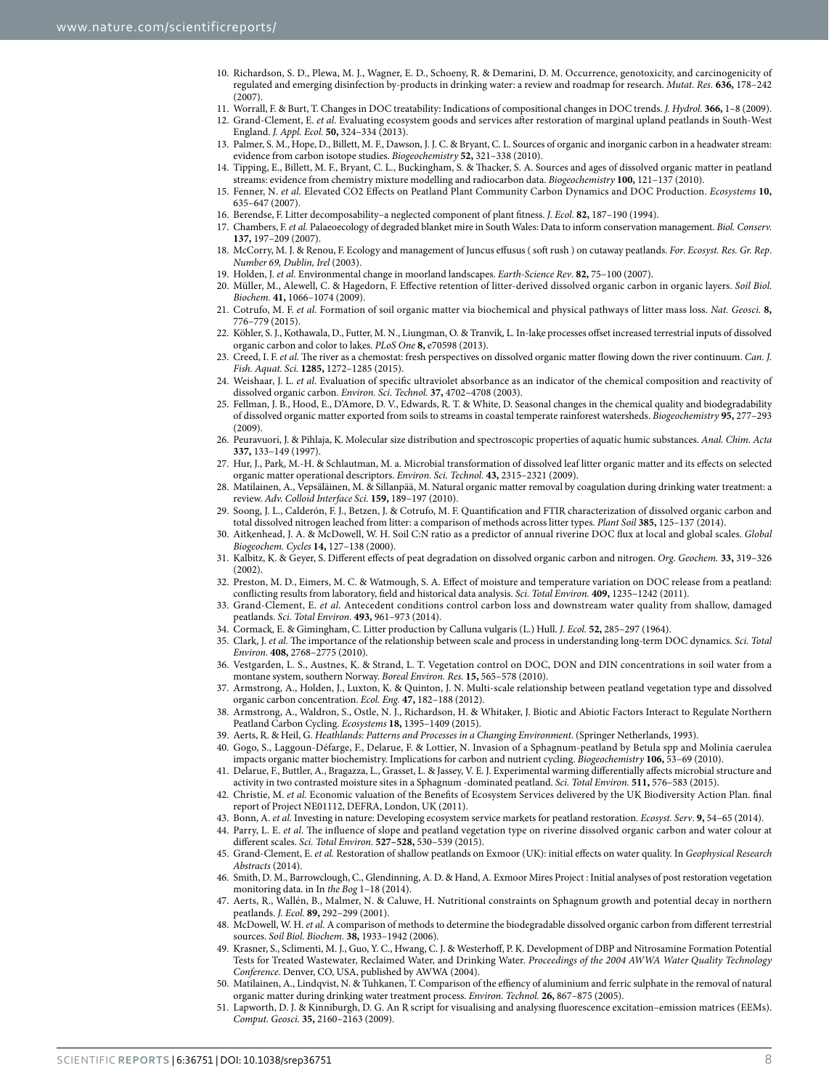- <span id="page-7-0"></span>10. Richardson, S. D., Plewa, M. J., Wagner, E. D., Schoeny, R. & Demarini, D. M. Occurrence, genotoxicity, and carcinogenicity of regulated and emerging disinfection by-products in drinking water: a review and roadmap for research. *Mutat. Res.* **636,** 178–242  $(2007)$
- <span id="page-7-1"></span>11. Worrall, F. & Burt, T. Changes in DOC treatability: Indications of compositional changes in DOC trends. *J. Hydrol.* **366,** 1–8 (2009). 12. Grand-Clement, E. *et al.* Evaluating ecosystem goods and services after restoration of marginal upland peatlands in South-West
- <span id="page-7-3"></span><span id="page-7-2"></span>England. *J. Appl. Ecol.* **50,** 324–334 (2013).
- 13. Palmer, S. M., Hope, D., Billett, M. F., Dawson, J. J. C. & Bryant, C. L. Sources of organic and inorganic carbon in a headwater stream: evidence from carbon isotope studies. *Biogeochemistry* **52,** 321–338 (2010).
- <span id="page-7-4"></span>14. Tipping, E., Billett, M. F., Bryant, C. L., Buckingham, S. & Thacker, S. A. Sources and ages of dissolved organic matter in peatland streams: evidence from chemistry mixture modelling and radiocarbon data. *Biogeochemistry* **100,** 121–137 (2010).
- <span id="page-7-5"></span>15. Fenner, N. *et al.* Elevated CO2 Effects on Peatland Plant Community Carbon Dynamics and DOC Production. *Ecosystems* **10,** 635–647 (2007).
- <span id="page-7-6"></span>16. Berendse, F. Litter decomposability–a neglected component of plant fitness. *J. Ecol.* **82,** 187–190 (1994).
- 17. Chambers, F. *et al.* Palaeoecology of degraded blanket mire in South Wales: Data to inform conservation management. *Biol. Conserv.* **137,** 197–209 (2007).
- 18. McCorry, M. J. & Renou, F. Ecology and management of Juncus effusus ( soft rush ) on cutaway peatlands. *For*. *Ecosyst. Res. Gr. Rep*. *Number 69, Dublin, Irel* (2003).
- <span id="page-7-7"></span>19. Holden, J. *et al.* Environmental change in moorland landscapes. *Earth-Science Rev*. **82,** 75–100 (2007).
- <span id="page-7-8"></span>20. Müller, M., Alewell, C. & Hagedorn, F. Effective retention of litter-derived dissolved organic carbon in organic layers. *Soil Biol. Biochem.* **41,** 1066–1074 (2009).
- <span id="page-7-9"></span>21. Cotrufo, M. F. *et al.* Formation of soil organic matter via biochemical and physical pathways of litter mass loss. *Nat. Geosci.* **8,** 776–779 (2015).
- <span id="page-7-10"></span>22. Köhler, S. J., Kothawala, D., Futter, M. N., Liungman, O. & Tranvik, L. In-lake processes offset increased terrestrial inputs of dissolved organic carbon and color to lakes. *PLoS One* **8,** e70598 (2013).
- <span id="page-7-11"></span>23. Creed, I. F. *et al.* The river as a chemostat: fresh perspectives on dissolved organic matter flowing down the river continuum. *Can. J. Fish. Aquat. Sci.* **1285,** 1272–1285 (2015).
- <span id="page-7-12"></span>24. Weishaar, J. L. *et al.* Evaluation of specific ultraviolet absorbance as an indicator of the chemical composition and reactivity of dissolved organic carbon. *Environ. Sci. Technol.* **37,** 4702–4708 (2003).
- <span id="page-7-13"></span>25. Fellman, J. B., Hood, E., D'Amore, D. V., Edwards, R. T. & White, D. Seasonal changes in the chemical quality and biodegradability of dissolved organic matter exported from soils to streams in coastal temperate rainforest watersheds. *Biogeochemistry* **95,** 277–293 (2009).
- <span id="page-7-14"></span>26. Peuravuori, J. & Pihlaja, K. Molecular size distribution and spectroscopic properties of aquatic humic substances. *Anal. Chim. Acta* **337,** 133–149 (1997).
- <span id="page-7-15"></span>27. Hur, J., Park, M.-H. & Schlautman, M. a. Microbial transformation of dissolved leaf litter organic matter and its effects on selected organic matter operational descriptors. *Environ. Sci. Technol.* **43,** 2315–2321 (2009).
- <span id="page-7-16"></span>28. Matilainen, A., Vepsäläinen, M. & Sillanpää, M. Natural organic matter removal by coagulation during drinking water treatment: a review. *Adv. Colloid Interface Sci.* **159,** 189–197 (2010).
- <span id="page-7-17"></span>29. Soong, J. L., Calderón, F. J., Betzen, J. & Cotrufo, M. F. Quantification and FTIR characterization of dissolved organic carbon and total dissolved nitrogen leached from litter: a comparison of methods across litter types. *Plant Soil* **385,** 125–137 (2014).
- <span id="page-7-18"></span>30. Aitkenhead, J. A. & McDowell, W. H. Soil C:N ratio as a predictor of annual riverine DOC flux at local and global scales. *Global Biogeochem. Cycles* **14,** 127–138 (2000).
- <span id="page-7-19"></span>31. Kalbitz, K. & Geyer, S. Different effects of peat degradation on dissolved organic carbon and nitrogen. *Org. Geochem.* **33,** 319–326 (2002).
- <span id="page-7-20"></span>32. Preston, M. D., Eimers, M. C. & Watmough, S. A. Effect of moisture and temperature variation on DOC release from a peatland: conflicting results from laboratory, field and historical data analysis. *Sci. Total Environ.* **409,** 1235–1242 (2011).
- <span id="page-7-21"></span>33. Grand-Clement, E. *et al.* Antecedent conditions control carbon loss and downstream water quality from shallow, damaged peatlands. *Sci. Total Environ.* **493,** 961–973 (2014).
- <span id="page-7-22"></span>34. Cormack, E. & Gimingham, C. Litter production by Calluna vulgaris (L.) Hull. *J. Ecol.* **52,** 285–297 (1964).
- <span id="page-7-23"></span>35. Clark, J. *et al.* The importance of the relationship between scale and process in understanding long-term DOC dynamics. *Sci. Total Environ.* **408,** 2768–2775 (2010).
- <span id="page-7-24"></span>36. Vestgarden, L. S., Austnes, K. & Strand, L. T. Vegetation control on DOC, DON and DIN concentrations in soil water from a montane system, southern Norway. *Boreal Environ. Res.* **15,** 565–578 (2010).
- <span id="page-7-25"></span>37. Armstrong, A., Holden, J., Luxton, K. & Quinton, J. N. Multi-scale relationship between peatland vegetation type and dissolved organic carbon concentration. *Ecol. Eng.* **47,** 182–188 (2012).
- <span id="page-7-26"></span>38. Armstrong, A., Waldron, S., Ostle, N. J., Richardson, H. & Whitaker, J. Biotic and Abiotic Factors Interact to Regulate Northern Peatland Carbon Cycling. *Ecosystems* **18,** 1395–1409 (2015).
- <span id="page-7-27"></span>39. Aerts, R. & Heil, G. *Heathlands: Patterns and Processes in a Changing Environment*. (Springer Netherlands, 1993).
- <span id="page-7-28"></span>40. Gogo, S., Laggoun-Défarge, F., Delarue, F. & Lottier, N. Invasion of a Sphagnum-peatland by Betula spp and Molinia caerulea impacts organic matter biochemistry. Implications for carbon and nutrient cycling. *Biogeochemistry* **106,** 53–69 (2010).
- <span id="page-7-29"></span>41. Delarue, F., Buttler, A., Bragazza, L., Grasset, L. & Jassey, V. E. J. Experimental warming differentially affects microbial structure and activity in two contrasted moisture sites in a Sphagnum -dominated peatland. *Sci. Total Environ.* **511,** 576–583 (2015).
- <span id="page-7-30"></span>42. Christie, M. *et al.* Economic valuation of the Benefits of Ecosystem Services delivered by the UK Biodiversity Action Plan. final report of Project NE01112, DEFRA, London, UK (2011).
- <span id="page-7-31"></span>43. Bonn, A. *et al.* Investing in nature: Developing ecosystem service markets for peatland restoration. *Ecosyst. Serv*. **9,** 54–65 (2014).
- <span id="page-7-32"></span>44. Parry, L. E. *et al.* The influence of slope and peatland vegetation type on riverine dissolved organic carbon and water colour at different scales. *Sci. Total Environ.* **527–528,** 530–539 (2015).
- <span id="page-7-33"></span>45. Grand-Clement, E. *et al.* Restoration of shallow peatlands on Exmoor (UK): initial effects on water quality. In *Geophysical Research Abstracts* (2014).
- <span id="page-7-34"></span>46. Smith, D. M., Barrowclough, C., Glendinning, A. D. & Hand, A. Exmoor Mires Project : Initial analyses of post restoration vegetation monitoring data. in In *the Bog* 1–18 (2014).
- <span id="page-7-35"></span>47. Aerts, R., Wallén, B., Malmer, N. & Caluwe, H. Nutritional constraints on Sphagnum growth and potential decay in northern peatlands. *J. Ecol.* **89,** 292–299 (2001).
- <span id="page-7-36"></span>48. McDowell, W. H. *et al.* A comparison of methods to determine the biodegradable dissolved organic carbon from different terrestrial sources. *Soil Biol. Biochem.* **38,** 1933–1942 (2006).
- <span id="page-7-37"></span>49. Krasner, S., Sclimenti, M. J., Guo, Y. C., Hwang, C. J. & Westerhoff, P. K. Development of DBP and Nitrosamine Formation Potential Tests for Treated Wastewater, Reclaimed Water, and Drinking Water. *Proceedings of the 2004 AWWA Water Quality Technology Conference*. Denver, CO, USA, published by AWWA (2004).
- <span id="page-7-38"></span>50. Matilainen, A., Lindqvist, N. & Tuhkanen, T. Comparison of the effiency of aluminium and ferric sulphate in the removal of natural organic matter during drinking water treatment process. *Environ. Technol.* **26,** 867–875 (2005).
- <span id="page-7-39"></span>51. Lapworth, D. J. & Kinniburgh, D. G. An R script for visualising and analysing fluorescence excitation–emission matrices (EEMs). *Comput. Geosci.* **35,** 2160–2163 (2009).